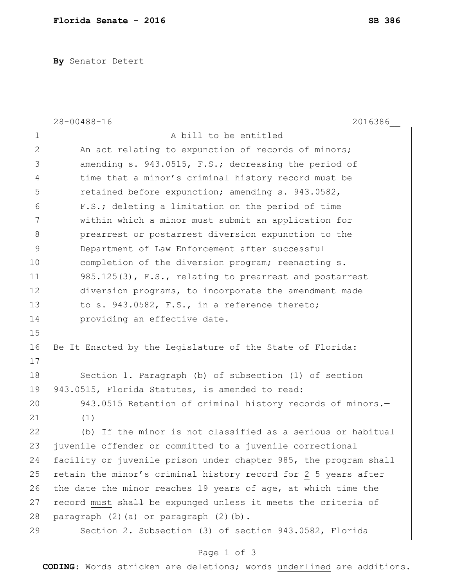**By** Senator Detert

|                | $28 - 00488 - 16$<br>2016386                                     |
|----------------|------------------------------------------------------------------|
| $\mathbf 1$    | A bill to be entitled                                            |
| $\overline{2}$ | An act relating to expunction of records of minors;              |
| 3              | amending s. 943.0515, F.S.; decreasing the period of             |
| 4              | time that a minor's criminal history record must be              |
| 5              | retained before expunction; amending s. 943.0582,                |
| 6              | F.S.; deleting a limitation on the period of time                |
| 7              | within which a minor must submit an application for              |
| 8              | prearrest or postarrest diversion expunction to the              |
| 9              | Department of Law Enforcement after successful                   |
| 10             | completion of the diversion program; reenacting s.               |
| 11             | 985.125(3), F.S., relating to prearrest and postarrest           |
| 12             | diversion programs, to incorporate the amendment made            |
| 13             | to s. 943.0582, F.S., in a reference thereto;                    |
| 14             | providing an effective date.                                     |
| 15             |                                                                  |
| 16             | Be It Enacted by the Legislature of the State of Florida:        |
| 17             |                                                                  |
| 18             | Section 1. Paragraph (b) of subsection (1) of section            |
| 19             | 943.0515, Florida Statutes, is amended to read:                  |
| 20             | 943.0515 Retention of criminal history records of minors.-       |
| 21             | (1)                                                              |
| 22             | (b) If the minor is not classified as a serious or habitual      |
| 23             | juvenile offender or committed to a juvenile correctional        |
| 24             | facility or juvenile prison under chapter 985, the program shall |
| 25             | retain the minor's criminal history record for 2 5 years after   |
| 26             | the date the minor reaches 19 years of age, at which time the    |
| 27             | record must shall be expunged unless it meets the criteria of    |
| 28             | paragraph (2)(a) or paragraph (2)(b).                            |
| 29             | Section 2. Subsection (3) of section 943.0582, Florida           |
|                |                                                                  |

## Page 1 of 3

**CODING**: Words stricken are deletions; words underlined are additions.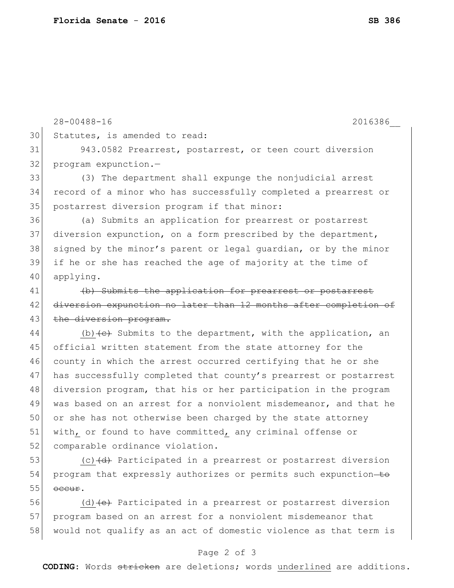28-00488-16 2016386\_\_ 30 Statutes, is amended to read: 31 943.0582 Prearrest, postarrest, or teen court diversion 32 program expunction.-33 (3) The department shall expunge the nonjudicial arrest 34 record of a minor who has successfully completed a prearrest or 35 postarrest diversion program if that minor: 36 (a) Submits an application for prearrest or postarrest 37 diversion expunction, on a form prescribed by the department, 38 signed by the minor's parent or legal quardian, or by the minor 39 if he or she has reached the age of majority at the time of 40 applying. 41 (b) Submits the application for prearrest or postarrest 42 diversion expunction no later than 12 months after completion of 43 the diversion program. 44  $($ b)  $\leftarrow$  Submits to the department, with the application, an 45 official written statement from the state attorney for the 46 county in which the arrest occurred certifying that he or she 47 has successfully completed that county's prearrest or postarrest 48 diversion program, that his or her participation in the program 49 was based on an arrest for a nonviolent misdemeanor, and that he 50 or she has not otherwise been charged by the state attorney 51 with, or found to have committed, any criminal offense or 52 comparable ordinance violation. 53  $(c)$  (c)  $\left(\frac{d}{d}\right)$  Participated in a prearrest or postarrest diversion 54 program that expressly authorizes or permits such expunction-to  $55$  occur. 56 (d) (e) Participated in a prearrest or postarrest diversion 57 program based on an arrest for a nonviolent misdemeanor that 58 would not qualify as an act of domestic violence as that term is

## Page 2 of 3

**CODING**: Words stricken are deletions; words underlined are additions.